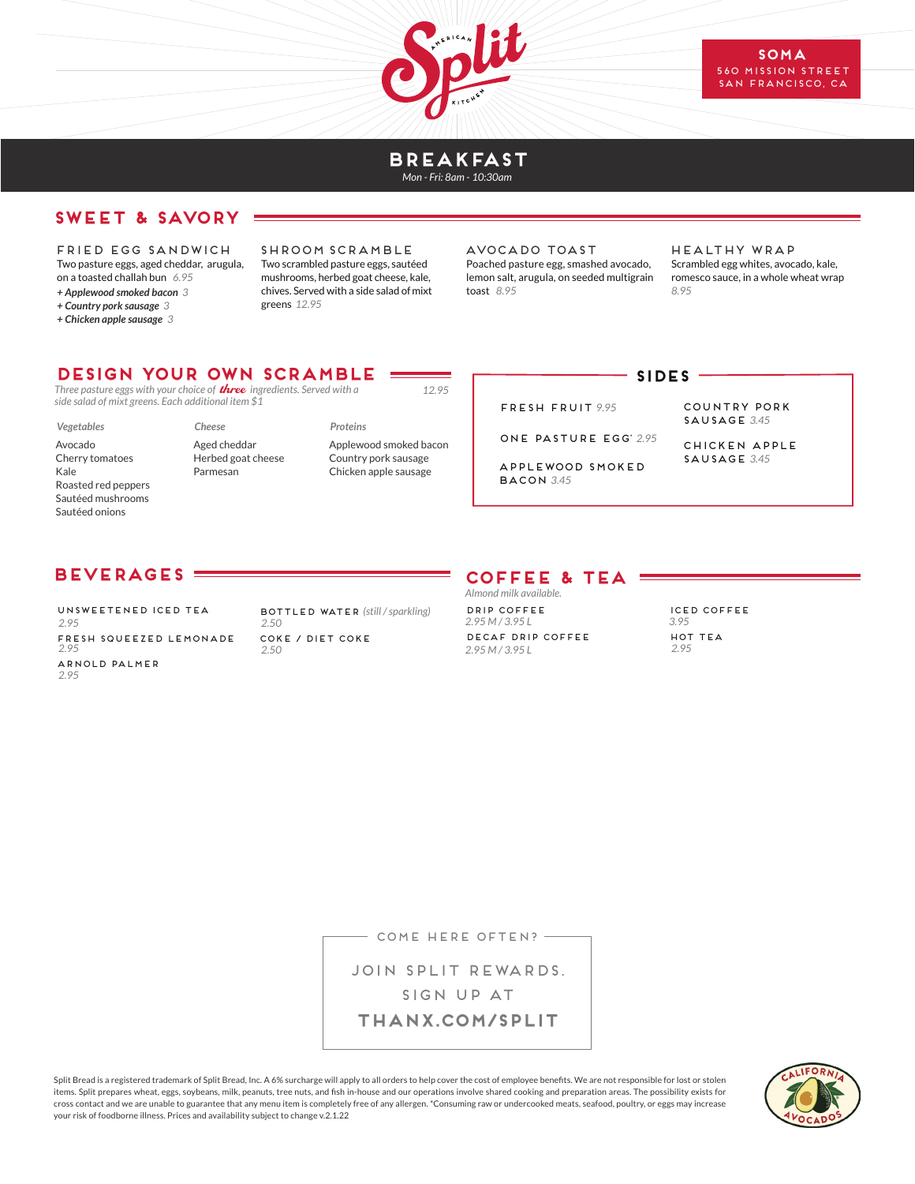

#### **BREAKFAST** *Mon - Fri: 8am - 10:30am*

# **SWEET & SAVORY**

 FRIED EGG SANDWICH Two pasture eggs, aged cheddar, arugula, on a toasted challah bun *6.95 + Applewood smoked bacon 3*

*+ Country pork sausage 3*

*+ Chicken apple sausage 3*

SHroom scramble Two scrambled pasture eggs, sautéed mushrooms, herbed goat cheese, kale, chives. Served with a side salad of mixt greens *12.95*

AVOCADO ToAST Poached pasture egg, smashed avocado, lemon salt, arugula, on seeded multigrain toast *8.95*

FRESH FRUIT *9.95*

ONE PASTURE EGG\* *2.95* APPLEWOOD SMOKED

Healthy WRAP Scrambled egg whites, avocado, kale, romesco sauce, in a whole wheat wrap *8.95*

### **Design your own SCRAMBLe**

*Three pasture eggs with your choice of* three *ingredients. Served with a side salad of mixt greens. Each additional item \$1*

*Vegetables*

- Avocado Cherry tomatoes Kale Roasted red peppers Sautéed mushrooms Sautéed onions
- *Cheese* Aged cheddar Herbed goat cheese Parmesan

*Proteins* Applewood smoked bacon Country pork sausage Chicken apple sausage

*12.95*

#### **SIDES**

COUNTRY PORK SAUSAGE *3.45*

chicken apple sausage *3.45*

# **BEVERAGES**

UNSWEETENED ICED TEA *2.95* FRESH SQUEEZED LEMONADE *2.95* ARNOLD PALMER *2.95*

BOTTLED WATER *(still / sparkling) 2.50* COKE / DIET COKE *2.50*

# **COFFEE & TEA**

BACOn *3.45*

DRIP COFFEE *2.95 M / 3.95 L* DECAF DRIP COFFEE *2.95 M / 3.95 L Almond milk available.*

ICED COFFEE *3.95* HOT TEA *2.95*

- COME HERE OFTEN? -

JOIN SPLIT REWARDS. SIGN UP AT **THANX.COM/SPLIT**

Split Bread is a registered trademark of Split Bread, Inc. A 6% surcharge will apply to all orders to help cover the cost of employee benefits. We are not responsible for lost or stolen items. Split prepares wheat, eggs, soybeans, milk, peanuts, tree nuts, and fish in-house and our operations involve shared cooking and preparation areas. The possibility exists for cross contact and we are unable to guarantee that any menu item is completely free of any allergen. \*Consuming raw or undercooked meats, seafood, poultry, or eggs may increase your risk of foodborne illness. Prices and availability subject to change v.2.1.22